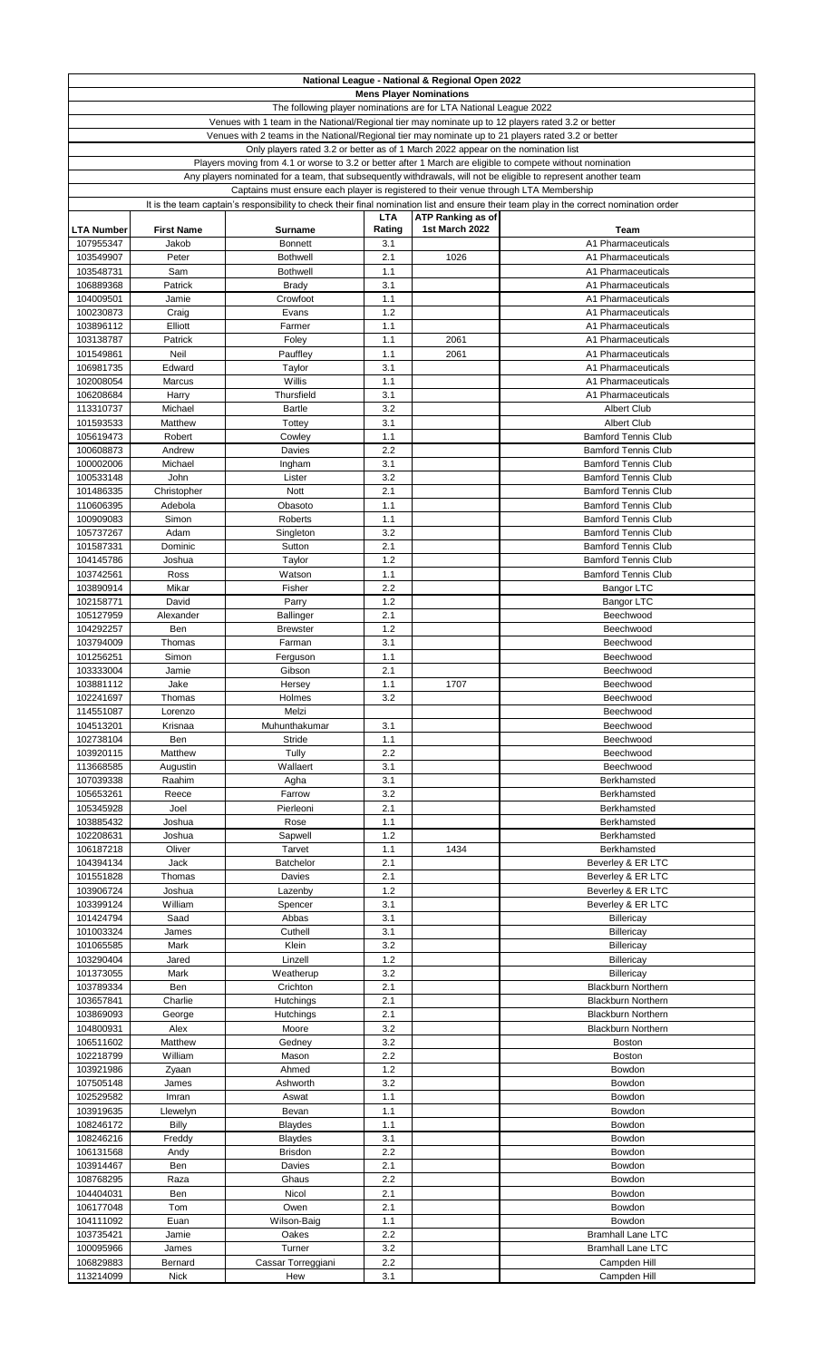|                        |                   |                                                                                                            |            | National League - National & Regional Open 2022                   |                                                                                                                                         |
|------------------------|-------------------|------------------------------------------------------------------------------------------------------------|------------|-------------------------------------------------------------------|-----------------------------------------------------------------------------------------------------------------------------------------|
|                        |                   |                                                                                                            |            | <b>Mens Player Nominations</b>                                    |                                                                                                                                         |
|                        |                   |                                                                                                            |            | The following player nominations are for LTA National League 2022 |                                                                                                                                         |
|                        |                   | Venues with 1 team in the National/Regional tier may nominate up to 12 players rated 3.2 or better         |            |                                                                   |                                                                                                                                         |
|                        |                   | Venues with 2 teams in the National/Regional tier may nominate up to 21 players rated 3.2 or better        |            |                                                                   |                                                                                                                                         |
|                        |                   | Only players rated 3.2 or better as of 1 March 2022 appear on the nomination list                          |            |                                                                   |                                                                                                                                         |
|                        |                   | Players moving from 4.1 or worse to 3.2 or better after 1 March are eligible to compete without nomination |            |                                                                   |                                                                                                                                         |
|                        |                   |                                                                                                            |            |                                                                   | Any players nominated for a team, that subsequently withdrawals, will not be eligible to represent another team                         |
|                        |                   | Captains must ensure each player is registered to their venue through LTA Membership                       |            |                                                                   |                                                                                                                                         |
|                        |                   |                                                                                                            |            |                                                                   | It is the team captain's responsibility to check their final nomination list and ensure their team play in the correct nomination order |
|                        |                   |                                                                                                            | <b>LTA</b> | ATP Ranking as of                                                 |                                                                                                                                         |
| <b>LTA Number</b>      | <b>First Name</b> | <b>Surname</b>                                                                                             | Rating     | 1st March 2022                                                    | Team                                                                                                                                    |
| 107955347              | Jakob             | <b>Bonnett</b>                                                                                             | 3.1        |                                                                   | A1 Pharmaceuticals                                                                                                                      |
| 103549907              | Peter             | <b>Bothwell</b>                                                                                            | 2.1        | 1026                                                              | A1 Pharmaceuticals                                                                                                                      |
| 103548731              | Sam               | <b>Bothwell</b>                                                                                            | 1.1        |                                                                   | A1 Pharmaceuticals                                                                                                                      |
| 106889368              | Patrick           | <b>Brady</b>                                                                                               | 3.1        |                                                                   | A1 Pharmaceuticals                                                                                                                      |
| 104009501              | Jamie             | Crowfoot                                                                                                   | 1.1        |                                                                   | A1 Pharmaceuticals                                                                                                                      |
|                        |                   |                                                                                                            | 1.2        |                                                                   |                                                                                                                                         |
| 100230873              | Craig<br>Elliott  | Evans<br>Farmer                                                                                            | 1.1        |                                                                   | A1 Pharmaceuticals<br>A1 Pharmaceuticals                                                                                                |
| 103896112<br>103138787 | Patrick           |                                                                                                            | 1.1        |                                                                   | A1 Pharmaceuticals                                                                                                                      |
| 101549861              |                   | Foley                                                                                                      |            | 2061                                                              |                                                                                                                                         |
|                        | Neil              | Pauffley                                                                                                   | 1.1        | 2061                                                              | A1 Pharmaceuticals                                                                                                                      |
| 106981735              | Edward            | Taylor                                                                                                     | 3.1        |                                                                   | A1 Pharmaceuticals                                                                                                                      |
| 102008054              | Marcus            | Willis                                                                                                     | 1.1        |                                                                   | A1 Pharmaceuticals                                                                                                                      |
| 106208684              | Harry             | Thursfield                                                                                                 | 3.1        |                                                                   | A1 Pharmaceuticals                                                                                                                      |
| 113310737              | Michael           | <b>Bartle</b>                                                                                              | 3.2        |                                                                   | <b>Albert Club</b>                                                                                                                      |
| 101593533              | Matthew           | Tottey                                                                                                     | 3.1        |                                                                   | <b>Albert Club</b>                                                                                                                      |
| 105619473              | Robert            | Cowley                                                                                                     | 1.1        |                                                                   | <b>Bamford Tennis Club</b>                                                                                                              |
| 100608873              | Andrew            | Davies                                                                                                     | 2.2        |                                                                   | <b>Bamford Tennis Club</b>                                                                                                              |
| 100002006              | Michael           | Ingham                                                                                                     | 3.1        |                                                                   | <b>Bamford Tennis Club</b>                                                                                                              |
| 100533148              | John              | Lister                                                                                                     | 3.2        |                                                                   | <b>Bamford Tennis Club</b>                                                                                                              |
| 101486335              | Christopher       | <b>Nott</b>                                                                                                | 2.1        |                                                                   | <b>Bamford Tennis Club</b>                                                                                                              |
| 110606395              | Adebola           | Obasoto                                                                                                    | 1.1        |                                                                   | <b>Bamford Tennis Club</b>                                                                                                              |
| 100909083              | Simon             | Roberts                                                                                                    | 1.1        |                                                                   | <b>Bamford Tennis Club</b>                                                                                                              |
| 105737267              | Adam              | Singleton                                                                                                  | 3.2        |                                                                   | <b>Bamford Tennis Club</b>                                                                                                              |
| 101587331              | Dominic           | Sutton                                                                                                     | 2.1        |                                                                   | <b>Bamford Tennis Club</b>                                                                                                              |
| 104145786              | Joshua            | Taylor                                                                                                     | 1.2        |                                                                   | <b>Bamford Tennis Club</b>                                                                                                              |
| 103742561              | Ross              | Watson                                                                                                     | 1.1        |                                                                   | <b>Bamford Tennis Club</b>                                                                                                              |
| 103890914              | Mikar             | Fisher                                                                                                     | 2.2        |                                                                   | <b>Bangor LTC</b>                                                                                                                       |
| 102158771              | David             | Parry                                                                                                      | 1.2        |                                                                   | <b>Bangor LTC</b>                                                                                                                       |
| 105127959              | Alexander         | <b>Ballinger</b>                                                                                           | 2.1        |                                                                   | Beechwood                                                                                                                               |
| 104292257              | Ben               | <b>Brewster</b>                                                                                            | 1.2        |                                                                   | Beechwood                                                                                                                               |
| 103794009              | Thomas            | Farman                                                                                                     | 3.1        |                                                                   | Beechwood                                                                                                                               |
| 101256251              | Simon             | Ferguson                                                                                                   | 1.1        |                                                                   | Beechwood                                                                                                                               |
| 103333004              | Jamie             | Gibson                                                                                                     | 2.1        |                                                                   | Beechwood                                                                                                                               |
| 103881112              | Jake              | Hersey                                                                                                     | 1.1        | 1707                                                              | Beechwood                                                                                                                               |
| 102241697              | Thomas            | Holmes                                                                                                     | 3.2        |                                                                   | Beechwood                                                                                                                               |
| 114551087              | Lorenzo           | Melzi                                                                                                      |            |                                                                   | Beechwood                                                                                                                               |
| 104513201              | Krisnaa           | Muhunthakumar                                                                                              | 3.1        |                                                                   | Beechwood                                                                                                                               |
| 102738104              | Ben               | Stride                                                                                                     | 1.1        |                                                                   | Beechwood                                                                                                                               |
| 103920115              | Matthew           | Tully                                                                                                      | 2.2        |                                                                   | Beechwood                                                                                                                               |
| 113668585              | Augustin          | Wallaert                                                                                                   | 3.1        |                                                                   | Beechwood                                                                                                                               |
| 107039338              | Raahim            | Agha                                                                                                       | 3.1        |                                                                   | Berkhamsted                                                                                                                             |
| 105653261              | Reece             | Farrow                                                                                                     | 3.2        |                                                                   | Berkhamsted                                                                                                                             |
| 105345928              | Joel              | Pierleoni                                                                                                  | 2.1        |                                                                   | Berkhamsted                                                                                                                             |
| 103885432              | Joshua            | Rose                                                                                                       | 1.1        |                                                                   | Berkhamsted                                                                                                                             |
| 102208631              | Joshua            | Sapwell                                                                                                    | 1.2        |                                                                   | Berkhamsted                                                                                                                             |
| 106187218              | Oliver            | Tarvet                                                                                                     | 1.1        | 1434                                                              | Berkhamsted                                                                                                                             |
| 104394134              | Jack              | <b>Batchelor</b>                                                                                           | 2.1        |                                                                   |                                                                                                                                         |
|                        |                   |                                                                                                            | 2.1        |                                                                   | Beverley & ER LTC                                                                                                                       |
| 101551828              | Thomas            | Davies                                                                                                     | 1.2        |                                                                   | Beverley & ER LTC                                                                                                                       |
| 103906724              | Joshua            | Lazenby                                                                                                    |            |                                                                   | Beverley & ER LTC                                                                                                                       |
| 103399124              | William           | Spencer                                                                                                    | 3.1        |                                                                   | Beverley & ER LTC                                                                                                                       |
| 101424794              | Saad              | Abbas                                                                                                      | 3.1        |                                                                   | <b>Billericay</b>                                                                                                                       |
| 101003324              | James             | Cuthell                                                                                                    | 3.1        |                                                                   | Billericay                                                                                                                              |
| 101065585              | Mark              | Klein                                                                                                      | 3.2        |                                                                   | Billericay                                                                                                                              |
| 103290404              | Jared             | Linzell                                                                                                    | 1.2        |                                                                   | Billericay                                                                                                                              |
| 101373055              | Mark              | Weatherup                                                                                                  | 3.2        |                                                                   | Billericay                                                                                                                              |
| 103789334              | Ben               | Crichton                                                                                                   | 2.1        |                                                                   | <b>Blackburn Northern</b>                                                                                                               |
| 103657841              | Charlie           | Hutchings                                                                                                  | 2.1        |                                                                   | <b>Blackburn Northern</b>                                                                                                               |
| 103869093              | George            | Hutchings                                                                                                  | 2.1        |                                                                   | <b>Blackburn Northern</b>                                                                                                               |
| 104800931              | Alex              | Moore                                                                                                      | 3.2        |                                                                   | <b>Blackburn Northern</b>                                                                                                               |
| 106511602              | Matthew           | Gedney                                                                                                     | 3.2        |                                                                   | Boston                                                                                                                                  |
| 102218799              | William           | Mason                                                                                                      | 2.2        |                                                                   | Boston                                                                                                                                  |
| 103921986              | Zyaan             | Ahmed                                                                                                      | 1.2        |                                                                   | Bowdon                                                                                                                                  |
| 107505148              | James             | Ashworth                                                                                                   | 3.2        |                                                                   | Bowdon                                                                                                                                  |
| 102529582              | Imran             | Aswat                                                                                                      | 1.1        |                                                                   | Bowdon                                                                                                                                  |
| 103919635              | Llewelyn          | Bevan                                                                                                      | 1.1        |                                                                   | Bowdon                                                                                                                                  |
| 108246172              | Billy             | <b>Blaydes</b>                                                                                             | 1.1        |                                                                   | Bowdon                                                                                                                                  |
| 108246216              | Freddy            | <b>Blaydes</b>                                                                                             | 3.1        |                                                                   | Bowdon                                                                                                                                  |
| 106131568              | Andy              | <b>Brisdon</b>                                                                                             | 2.2        |                                                                   | Bowdon                                                                                                                                  |
| 103914467              | Ben               | Davies                                                                                                     | 2.1        |                                                                   | Bowdon                                                                                                                                  |
| 108768295              | Raza              | Ghaus                                                                                                      | 2.2        |                                                                   | Bowdon                                                                                                                                  |
| 104404031              | Ben               | Nicol                                                                                                      | 2.1        |                                                                   | Bowdon                                                                                                                                  |
| 106177048              | Tom               | Owen                                                                                                       | 2.1        |                                                                   | Bowdon                                                                                                                                  |
| 104111092              | Euan              | Wilson-Baig                                                                                                | 1.1        |                                                                   | Bowdon                                                                                                                                  |
| 103735421              | Jamie             | Oakes                                                                                                      | 2.2        |                                                                   | <b>Bramhall Lane LTC</b>                                                                                                                |
| 100095966              | James             | Turner                                                                                                     | 3.2        |                                                                   | <b>Bramhall Lane LTC</b>                                                                                                                |
| 106829883              | Bernard           | Cassar Torreggiani                                                                                         | 2.2        |                                                                   | Campden Hill                                                                                                                            |
| 113214099              | <b>Nick</b>       | Hew                                                                                                        | 3.1        |                                                                   | Campden Hill                                                                                                                            |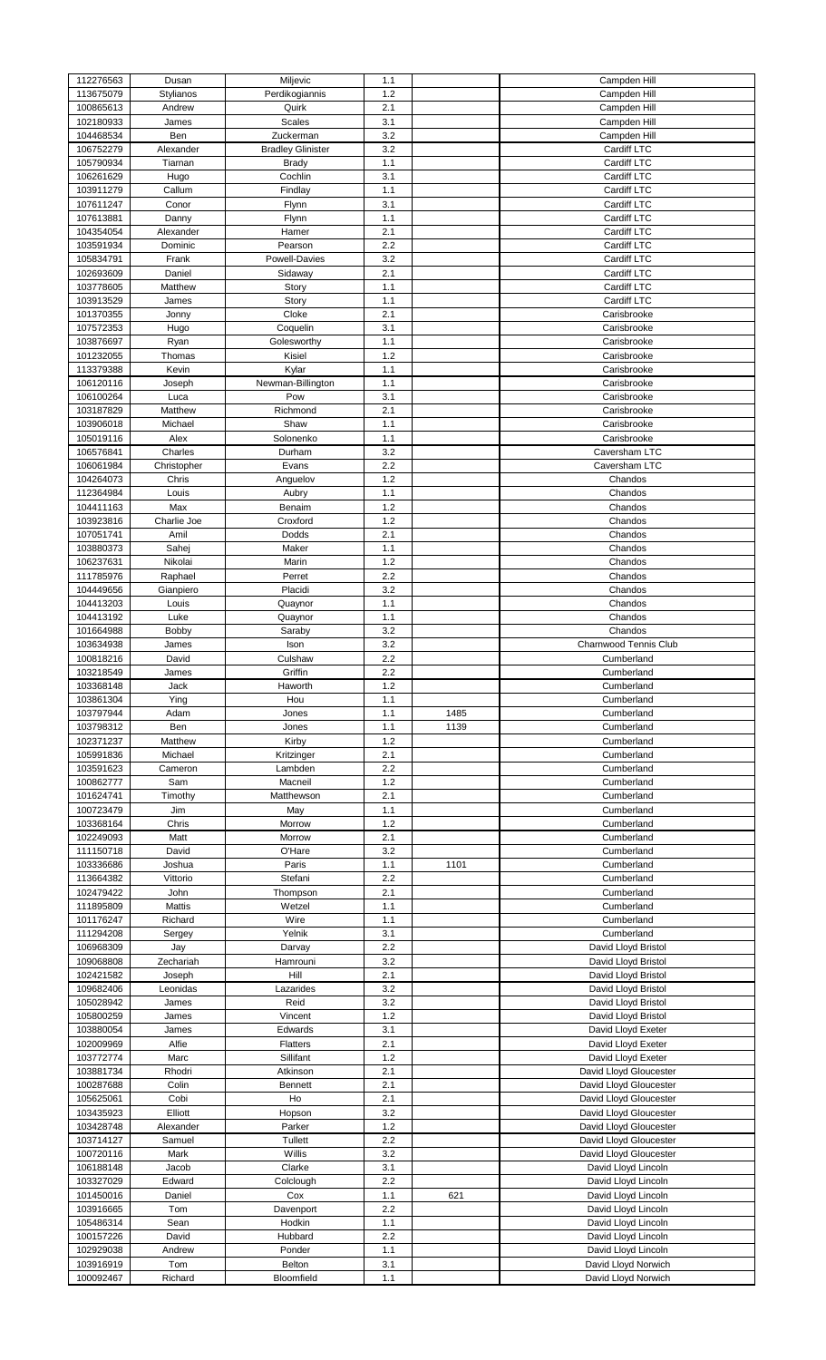| 112276563              |                |                            |            |      | Campden Hill                               |
|------------------------|----------------|----------------------------|------------|------|--------------------------------------------|
| 113675079              | Dusan          | Miljevic<br>Perdikogiannis | 1.1<br>1.2 |      | Campden Hill                               |
|                        | Stylianos      |                            |            |      |                                            |
| 100865613              | Andrew         | Quirk                      | 2.1        |      | Campden Hill                               |
| 102180933              | James          | Scales                     | 3.1        |      | Campden Hill                               |
| 104468534              | Ben            | Zuckerman                  | 3.2        |      | Campden Hill                               |
|                        |                |                            |            |      |                                            |
| 106752279              | Alexander      | <b>Bradley Glinister</b>   | 3.2        |      | Cardiff LTC                                |
| 105790934              | Tiarnan        | <b>Brady</b>               | 1.1        |      | Cardiff LTC                                |
| 106261629              | Hugo           | Cochlin                    | 3.1        |      | Cardiff LTC                                |
|                        |                |                            |            |      |                                            |
| 103911279              | Callum         | Findlay                    | 1.1        |      | Cardiff LTC                                |
| 107611247              | Conor          | Flynn                      | 3.1        |      | Cardiff LTC                                |
| 107613881              | Danny          | Flynn                      | 1.1        |      | Cardiff LTC                                |
|                        |                |                            |            |      |                                            |
| 104354054              | Alexander      | Hamer                      | 2.1        |      | Cardiff LTC                                |
| 103591934              | Dominic        | Pearson                    | 2.2        |      | Cardiff LTC                                |
| 105834791              | Frank          | Powell-Davies              | 3.2        |      | Cardiff LTC                                |
|                        |                |                            |            |      |                                            |
| 102693609              | Daniel         | Sidaway                    | 2.1        |      | Cardiff LTC                                |
| 103778605              | Matthew        | Story                      | 1.1        |      | Cardiff LTC                                |
| 103913529              | James          | Story                      | 1.1        |      | Cardiff LTC                                |
|                        |                |                            |            |      |                                            |
| 101370355              | Jonny          | Cloke                      | 2.1        |      | Carisbrooke                                |
| 107572353              | Hugo           | Coquelin                   | 3.1        |      | Carisbrooke                                |
|                        |                |                            |            |      |                                            |
| 103876697              | Ryan           | Golesworthy                | 1.1        |      | Carisbrooke                                |
| 101232055              | Thomas         | Kisiel                     | 1.2        |      | Carisbrooke                                |
| 113379388              | Kevin          | Kylar                      | 1.1        |      | Carisbrooke                                |
|                        |                |                            |            |      |                                            |
| 106120116              | Joseph         | Newman-Billington          | 1.1        |      | Carisbrooke                                |
| 106100264              | Luca           | Pow                        | 3.1        |      | Carisbrooke                                |
| 103187829              | Matthew        | Richmond                   | 2.1        |      | Carisbrooke                                |
|                        |                |                            |            |      |                                            |
| 103906018              | Michael        | Shaw                       | 1.1        |      | Carisbrooke                                |
| 105019116              | Alex           | Solonenko                  | 1.1        |      | Carisbrooke                                |
| 106576841              | Charles        | Durham                     | 3.2        |      | Caversham LTC                              |
|                        |                |                            |            |      |                                            |
| 106061984              | Christopher    | Evans                      | 2.2        |      | Caversham LTC                              |
| 104264073              | Chris          | Anguelov                   | 1.2        |      | Chandos                                    |
| 112364984              | Louis          | Aubry                      | 1.1        |      | Chandos                                    |
|                        |                |                            |            |      |                                            |
| 104411163              | Max            | Benaim                     | 1.2        |      | Chandos                                    |
| 103923816              | Charlie Joe    | Croxford                   | 1.2        |      | Chandos                                    |
|                        |                |                            |            |      |                                            |
| 107051741              | Amil           | Dodds                      | 2.1        |      | Chandos                                    |
| 103880373              | Sahej          | Maker                      | 1.1        |      | Chandos                                    |
| 106237631              | Nikolai        | Marin                      | 1.2        |      | Chandos                                    |
|                        |                |                            |            |      |                                            |
| 111785976              | Raphael        | Perret                     | 2.2        |      | Chandos                                    |
| 104449656              | Gianpiero      | Placidi                    | 3.2        |      | Chandos                                    |
| 104413203              | Louis          | Quaynor                    | 1.1        |      | Chandos                                    |
|                        |                |                            |            |      |                                            |
| 104413192              | Luke           | Quaynor                    | 1.1        |      | Chandos                                    |
| 101664988              | Bobby          | Saraby                     | 3.2        |      | Chandos                                    |
| 103634938              | James          | Ison                       | 3.2        |      | Charnwood Tennis Club                      |
|                        |                |                            |            |      |                                            |
| 100818216              | David          | Culshaw                    | 2.2        |      | Cumberland                                 |
| 103218549              | James          | Griffin                    | 2.2        |      | Cumberland                                 |
| 103368148              | Jack           | Haworth                    | 1.2        |      | Cumberland                                 |
|                        |                |                            |            |      |                                            |
| 103861304              | Ying           | Hou                        | 1.1        |      | Cumberland                                 |
| 103797944              | Adam           | Jones                      | 1.1        | 1485 | Cumberland                                 |
| 103798312              | Ben            | Jones                      | 1.1        | 1139 | Cumberland                                 |
|                        |                |                            |            |      |                                            |
| 102371237              | Matthew        | Kirby                      | 1.2        |      | Cumberland                                 |
| 105991836              | Michael        | Kritzinger                 | 2.1        |      | Cumberland                                 |
| 103591623              | Cameron        | Lambden                    | 2.2        |      | Cumberland                                 |
|                        |                |                            |            |      |                                            |
|                        | Sam            |                            | 1.2        |      | Cumberland                                 |
| 100862777              |                | Macneil                    |            |      |                                            |
|                        |                |                            |            |      |                                            |
| 101624741              | Timothy        | Matthewson                 | 2.1        |      | Cumberland                                 |
| 100723479              | Jim            | May                        | 1.1        |      | Cumberland                                 |
| 103368164              | Chris          | Morrow                     | 1.2        |      | Cumberland                                 |
| 102249093              | Matt           | Morrow                     | 2.1        |      | Cumberland                                 |
|                        |                |                            |            |      |                                            |
| 111150718              | David          | O'Hare                     | 3.2        |      | Cumberland                                 |
| 103336686              | Joshua         | Paris                      | 1.1        | 1101 | Cumberland                                 |
|                        |                |                            | 2.2        |      |                                            |
| 113664382              | Vittorio       | Stefani                    |            |      | Cumberland                                 |
| 102479422              | John           | Thompson                   | 2.1        |      | Cumberland                                 |
| 111895809              | Mattis         | Wetzel                     | 1.1        |      | Cumberland                                 |
| 101176247              | Richard        | Wire                       | 1.1        |      | Cumberland                                 |
|                        |                |                            |            |      |                                            |
| 111294208              | Sergey         | Yelnik                     | 3.1        |      | Cumberland                                 |
| 106968309              | Jay            | Darvay                     | 2.2        |      | David Lloyd Bristol                        |
| 109068808              | Zechariah      | Hamrouni                   | 3.2        |      | David Lloyd Bristol                        |
|                        |                |                            |            |      |                                            |
| 102421582              | Joseph         | Hill                       | 2.1        |      | David Lloyd Bristol                        |
| 109682406              | Leonidas       | Lazarides                  | 3.2        |      | David Lloyd Bristol                        |
|                        | James          | Reid                       |            |      |                                            |
| 105028942              |                |                            | 3.2        |      | David Lloyd Bristol                        |
| 105800259              | James          | Vincent                    | 1.2        |      | David Lloyd Bristol                        |
| 103880054              | James          | Edwards                    | 3.1        |      | David Lloyd Exeter                         |
| 102009969              | Alfie          | <b>Flatters</b>            | 2.1        |      | David Lloyd Exeter                         |
|                        |                |                            |            |      |                                            |
| 103772774              | Marc           | Sillifant                  | 1.2        |      | David Lloyd Exeter                         |
| 103881734              | Rhodri         | Atkinson                   | 2.1        |      | David Lloyd Gloucester                     |
| 100287688              | Colin          | <b>Bennett</b>             | 2.1        |      | David Lloyd Gloucester                     |
|                        |                |                            |            |      |                                            |
| 105625061              | Cobi           | Ho                         | 2.1        |      | David Lloyd Gloucester                     |
| 103435923              | Elliott        | Hopson                     | 3.2        |      | David Lloyd Gloucester                     |
| 103428748              | Alexander      | Parker                     | 1.2        |      |                                            |
|                        |                |                            |            |      | David Lloyd Gloucester                     |
| 103714127              | Samuel         | Tullett                    | 2.2        |      | David Lloyd Gloucester                     |
| 100720116              | Mark           | Willis                     | 3.2        |      | David Lloyd Gloucester                     |
| 106188148              | Jacob          | Clarke                     | 3.1        |      | David Lloyd Lincoln                        |
|                        |                |                            |            |      |                                            |
| 103327029              | Edward         | Colclough                  | 2.2        |      | David Lloyd Lincoln                        |
| 101450016              | Daniel         | Cox                        | 1.1        | 621  | David Lloyd Lincoln                        |
| 103916665              | Tom            |                            |            |      |                                            |
|                        |                | Davenport                  | 2.2        |      | David Lloyd Lincoln                        |
| 105486314              | Sean           | Hodkin                     | 1.1        |      | David Lloyd Lincoln                        |
| 100157226              | David          | Hubbard                    | 2.2        |      | David Lloyd Lincoln                        |
|                        |                |                            |            |      |                                            |
| 102929038              | Andrew         | Ponder                     | 1.1        |      | David Lloyd Lincoln                        |
| 103916919<br>100092467 | Tom<br>Richard | Belton<br>Bloomfield       | 3.1<br>1.1 |      | David Lloyd Norwich<br>David Lloyd Norwich |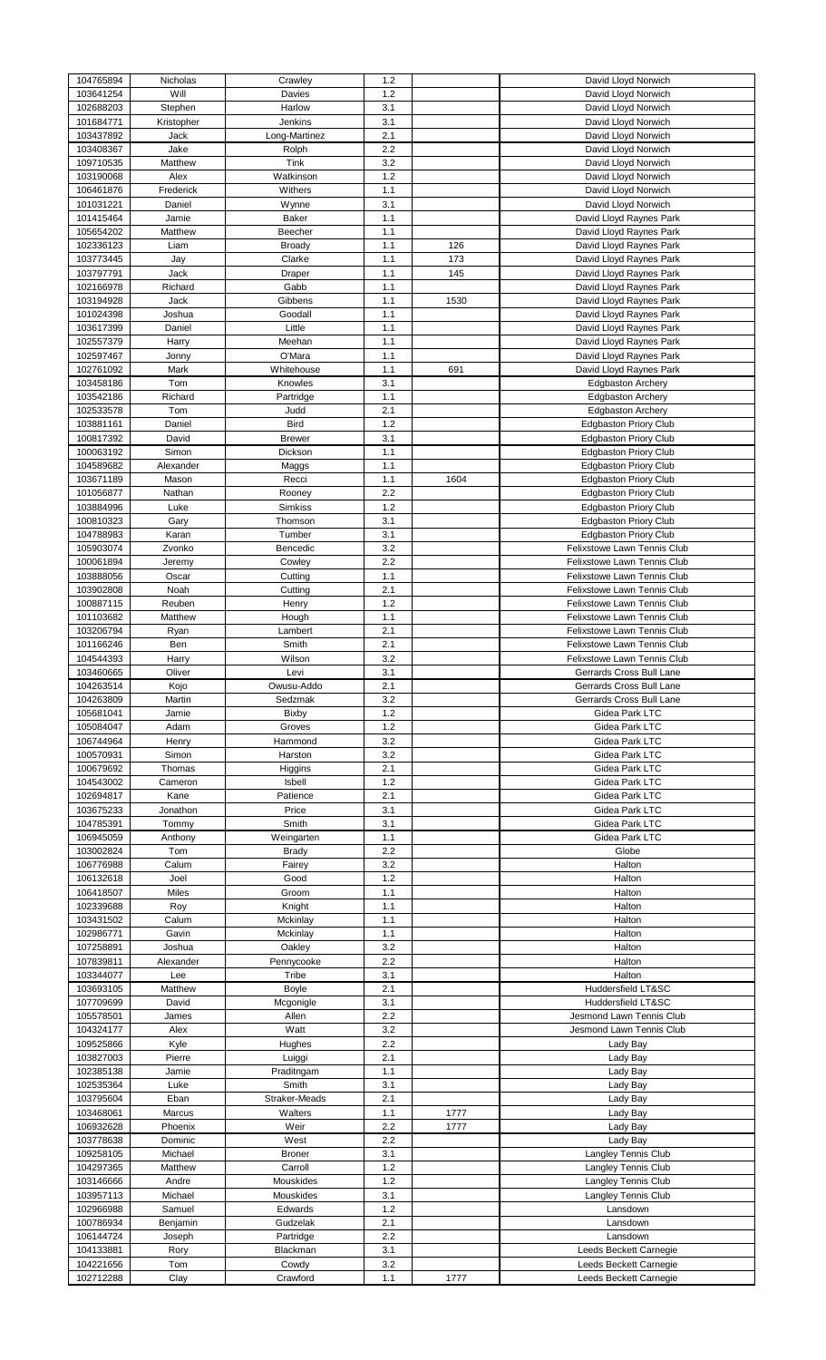| 104765894 | Nicholas   | Crawley       | 1.2 |      | David Lloyd Norwich          |
|-----------|------------|---------------|-----|------|------------------------------|
| 103641254 | Will       | Davies        | 1.2 |      | David Lloyd Norwich          |
| 102688203 | Stephen    | Harlow        | 3.1 |      | David Lloyd Norwich          |
| 101684771 | Kristopher | Jenkins       | 3.1 |      | David Lloyd Norwich          |
|           |            |               |     |      |                              |
| 103437892 | Jack       | Long-Martinez | 2.1 |      | David Lloyd Norwich          |
| 103408367 | Jake       | Rolph         | 2.2 |      | David Lloyd Norwich          |
| 109710535 | Matthew    | Tink          | 3.2 |      | David Lloyd Norwich          |
| 103190068 | Alex       | Watkinson     | 1.2 |      | David Lloyd Norwich          |
|           |            | Withers       |     |      | David Lloyd Norwich          |
| 106461876 | Frederick  |               | 1.1 |      |                              |
| 101031221 | Daniel     | Wynne         | 3.1 |      | David Lloyd Norwich          |
| 101415464 | Jamie      | Baker         | 1.1 |      | David Lloyd Raynes Park      |
| 105654202 | Matthew    | Beecher       | 1.1 |      | David Lloyd Raynes Park      |
|           |            |               |     |      |                              |
| 102336123 | Liam       | <b>Broady</b> | 1.1 | 126  | David Lloyd Raynes Park      |
| 103773445 | Jay        | Clarke        | 1.1 | 173  | David Lloyd Raynes Park      |
| 103797791 | Jack       | Draper        | 1.1 | 145  | David Lloyd Raynes Park      |
| 102166978 | Richard    | Gabb          | 1.1 |      | David Lloyd Raynes Park      |
|           | Jack       | Gibbens       | 1.1 | 1530 | David Lloyd Raynes Park      |
| 103194928 |            |               |     |      |                              |
| 101024398 | Joshua     | Goodall       | 1.1 |      | David Lloyd Raynes Park      |
| 103617399 | Daniel     | Little        | 1.1 |      | David Lloyd Raynes Park      |
| 102557379 | Harry      | Meehan        | 1.1 |      | David Lloyd Raynes Park      |
| 102597467 | Jonny      | O'Mara        | 1.1 |      | David Lloyd Raynes Park      |
|           |            |               |     |      |                              |
| 102761092 | Mark       | Whitehouse    | 1.1 | 691  | David Lloyd Raynes Park      |
| 103458186 | Tom        | Knowles       | 3.1 |      | <b>Edgbaston Archery</b>     |
| 103542186 | Richard    | Partridge     | 1.1 |      | <b>Edgbaston Archery</b>     |
| 102533578 | Tom        | Judd          | 2.1 |      | <b>Edgbaston Archery</b>     |
|           |            |               |     |      |                              |
| 103881161 | Daniel     | Bird          | 1.2 |      | <b>Edgbaston Priory Club</b> |
| 100817392 | David      | <b>Brewer</b> | 3.1 |      | <b>Edgbaston Priory Club</b> |
| 100063192 | Simon      | Dickson       | 1.1 |      | <b>Edgbaston Priory Club</b> |
| 104589682 | Alexander  | Maggs         | 1.1 |      | <b>Edgbaston Priory Club</b> |
|           |            |               |     |      |                              |
| 103671189 | Mason      | Recci         | 1.1 | 1604 | <b>Edgbaston Priory Club</b> |
| 101056877 | Nathan     | Rooney        | 2.2 |      | <b>Edgbaston Priory Club</b> |
| 103884996 | Luke       | Simkiss       | 1.2 |      | <b>Edgbaston Priory Club</b> |
| 100810323 | Gary       | Thomson       | 3.1 |      | <b>Edgbaston Priory Club</b> |
|           |            |               |     |      |                              |
| 104788983 | Karan      | Tumber        | 3.1 |      | <b>Edgbaston Priory Club</b> |
| 105903074 | Zvonko     | Bencedic      | 3.2 |      | Felixstowe Lawn Tennis Club  |
| 100061894 | Jeremy     | Cowley        | 2.2 |      | Felixstowe Lawn Tennis Club  |
| 103888056 | Oscar      | Cutting       | 1.1 |      | Felixstowe Lawn Tennis Club  |
|           |            |               |     |      |                              |
| 103902808 | Noah       | Cutting       | 2.1 |      | Felixstowe Lawn Tennis Club  |
| 100887115 | Reuben     | Henry         | 1.2 |      | Felixstowe Lawn Tennis Club  |
| 101103682 | Matthew    | Hough         | 1.1 |      | Felixstowe Lawn Tennis Club  |
| 103206794 | Ryan       | Lambert       | 2.1 |      | Felixstowe Lawn Tennis Club  |
|           |            |               |     |      |                              |
| 101166246 | Ben        | Smith         | 2.1 |      | Felixstowe Lawn Tennis Club  |
| 104544393 | Harry      | Wilson        | 3.2 |      | Felixstowe Lawn Tennis Club  |
| 103460665 | Oliver     | Levi          | 3.1 |      | Gerrards Cross Bull Lane     |
| 104263514 | Kojo       | Owusu-Addo    | 2.1 |      | Gerrards Cross Bull Lane     |
|           |            |               |     |      |                              |
| 104263809 | Martin     | Sedzmak       | 3.2 |      | Gerrards Cross Bull Lane     |
|           |            |               |     |      |                              |
| 105681041 | Jamie      | <b>Bixby</b>  | 1.2 |      | Gidea Park LTC               |
| 105084047 | Adam       | Groves        | 1.2 |      | Gidea Park LTC               |
|           |            |               |     |      |                              |
| 106744964 | Henry      | Hammond       | 3.2 |      | Gidea Park LTC               |
| 100570931 | Simon      | Harston       | 3.2 |      | Gidea Park LTC               |
| 100679692 | Thomas     | Higgins       | 2.1 |      | Gidea Park LTC               |
| 104543002 | Cameron    | Isbell        | 1.2 |      | Gidea Park LTC               |
| 102694817 |            | Patience      |     |      |                              |
|           | Kane       |               | 2.1 |      | Gidea Park LTC               |
| 103675233 | Jonathon   | Price         | 3.1 |      | Gidea Park LTC               |
| 104785391 | Tommy      | Smith         | 3.1 |      | Gidea Park LTC               |
| 106945059 | Anthony    | Weingarten    | 1.1 |      | Gidea Park LTC               |
| 103002824 | Tom        | <b>Brady</b>  | 2.2 |      | Globe                        |
|           |            |               |     |      |                              |
| 106776988 | Calum      | Fairey        | 3.2 |      | Halton                       |
| 106132618 | Joel       | Good          | 1.2 |      | Halton                       |
| 106418507 | Miles      | Groom         | 1.1 |      | Halton                       |
| 102339688 | Roy        | Knight        | 1.1 |      | Halton                       |
| 103431502 | Calum      | Mckinlay      | 1.1 |      | Halton                       |
|           |            |               |     |      |                              |
| 102986771 | Gavin      | Mckinlay      | 1.1 |      | Halton                       |
| 107258891 | Joshua     | Oakley        | 3.2 |      | Halton                       |
| 107839811 | Alexander  | Pennycooke    | 2.2 |      | Halton                       |
| 103344077 | Lee        | Tribe         | 3.1 |      | Halton                       |
|           |            |               |     |      |                              |
| 103693105 | Matthew    | Boyle         | 2.1 |      | Huddersfield LT&SC           |
| 107709699 | David      | Mcgonigle     | 3.1 |      | Huddersfield LT&SC           |
| 105578501 | James      | Allen         | 2.2 |      | Jesmond Lawn Tennis Club     |
| 104324177 | Alex       | Watt          | 3.2 |      | Jesmond Lawn Tennis Club     |
| 109525866 | Kyle       | Hughes        | 2.2 |      |                              |
|           |            |               |     |      | Lady Bay                     |
| 103827003 | Pierre     | Luiggi        | 2.1 |      | Lady Bay                     |
| 102385138 | Jamie      | Praditngam    | 1.1 |      | Lady Bay                     |
| 102535364 | Luke       | Smith         | 3.1 |      | Lady Bay                     |
|           | Eban       |               | 2.1 |      |                              |
| 103795604 |            | Straker-Meads |     |      | Lady Bay                     |
| 103468061 | Marcus     | Walters       | 1.1 | 1777 | Lady Bay                     |
| 106932628 | Phoenix    | Weir          | 2.2 | 1777 | Lady Bay                     |
| 103778638 | Dominic    | West          | 2.2 |      | Lady Bay                     |
|           |            |               |     |      |                              |
| 109258105 | Michael    | <b>Broner</b> | 3.1 |      | Langley Tennis Club          |
| 104297365 | Matthew    | Carroll       | 1.2 |      | Langley Tennis Club          |
| 103146666 | Andre      | Mouskides     | 1.2 |      | Langley Tennis Club          |
| 103957113 | Michael    | Mouskides     | 3.1 |      | Langley Tennis Club          |
| 102966988 | Samuel     | Edwards       | 1.2 |      | Lansdown                     |
|           |            |               |     |      |                              |
| 100786934 | Benjamin   | Gudzelak      | 2.1 |      | Lansdown                     |
| 106144724 | Joseph     | Partridge     | 2.2 |      | Lansdown                     |
| 104133881 | Rory       | Blackman      | 3.1 |      | Leeds Beckett Carnegie       |
| 104221656 | Tom        | Cowdy         | 3.2 |      | Leeds Beckett Carnegie       |
| 102712288 | Clay       | Crawford      | 1.1 | 1777 | Leeds Beckett Carnegie       |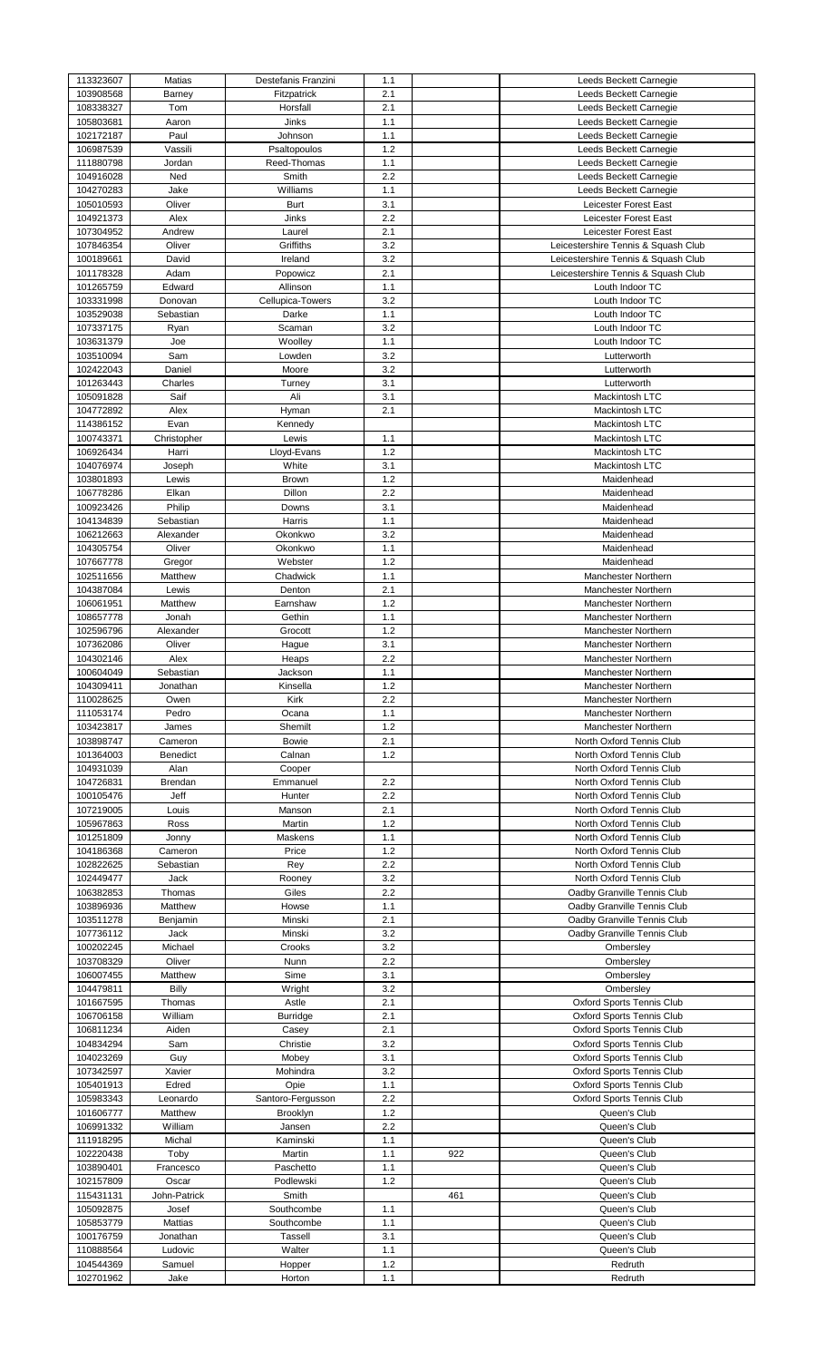| 113323607              | Matias         | Destefanis Franzini | 1.1        |     | Leeds Beckett Carnegie              |
|------------------------|----------------|---------------------|------------|-----|-------------------------------------|
| 103908568              | Barney         | Fitzpatrick         | 2.1        |     | Leeds Beckett Carnegie              |
| 108338327              | Tom            | Horsfall            | 2.1        |     | Leeds Beckett Carnegie              |
| 105803681              | Aaron          | Jinks               | 1.1        |     | Leeds Beckett Carnegie              |
| 102172187              | Paul           | Johnson             | 1.1        |     | Leeds Beckett Carnegie              |
| 106987539              | Vassili        | Psaltopoulos        | 1.2        |     | Leeds Beckett Carnegie              |
|                        |                | Reed-Thomas         |            |     |                                     |
| 111880798              | Jordan         |                     | 1.1        |     | Leeds Beckett Carnegie              |
| 104916028              | Ned            | Smith               | 2.2        |     | Leeds Beckett Carnegie              |
| 104270283              | Jake           | Williams            | 1.1        |     | Leeds Beckett Carnegie              |
| 105010593              | Oliver         | Burt                | 3.1        |     | Leicester Forest East               |
| 104921373              | Alex           | Jinks               | 2.2        |     | Leicester Forest East               |
| 107304952              | Andrew         | Laurel              | 2.1        |     | Leicester Forest East               |
|                        |                | Griffiths           |            |     |                                     |
| 107846354              | Oliver         |                     | 3.2        |     | Leicestershire Tennis & Squash Club |
| 100189661              | David          | Ireland             | 3.2        |     | Leicestershire Tennis & Squash Club |
| 101178328              | Adam           | Popowicz            | 2.1        |     | Leicestershire Tennis & Squash Club |
| 101265759              | Edward         | Allinson            | 1.1        |     | Louth Indoor TC                     |
| 103331998              | Donovan        | Cellupica-Towers    | 3.2        |     | Louth Indoor TC                     |
| 103529038              | Sebastian      | Darke               | 1.1        |     | Louth Indoor TC                     |
| 107337175              | Ryan           | Scaman              | 3.2        |     | Louth Indoor TC                     |
|                        |                |                     |            |     |                                     |
| 103631379              | Joe            | Woolley             | 1.1        |     | Louth Indoor TC                     |
| 103510094              | Sam            | Lowden              | 3.2        |     | Lutterworth                         |
| 102422043              | Daniel         | Moore               | 3.2        |     | Lutterworth                         |
| 101263443              | Charles        | Turney              | 3.1        |     | Lutterworth                         |
| 105091828              | Saif           | Ali                 | 3.1        |     | Mackintosh LTC                      |
|                        |                |                     |            |     |                                     |
| 104772892              | Alex           | Hyman               | 2.1        |     | Mackintosh LTC                      |
| 114386152              | Evan           | Kennedy             |            |     | Mackintosh LTC                      |
| 100743371              | Christopher    | Lewis               | 1.1        |     | Mackintosh LTC                      |
| 106926434              | Harri          | Lloyd-Evans         | 1.2        |     | Mackintosh LTC                      |
| 104076974              | Joseph         | White               | 3.1        |     | Mackintosh LTC                      |
| 103801893              | Lewis          | Brown               | 1.2        |     | Maidenhead                          |
|                        |                |                     | 2.2        |     |                                     |
| 106778286              | Elkan          | Dillon              |            |     | Maidenhead                          |
| 100923426              | Philip         | Downs               | 3.1        |     | Maidenhead                          |
| 104134839              | Sebastian      | Harris              | 1.1        |     | Maidenhead                          |
| 106212663              | Alexander      | Okonkwo             | 3.2        |     | Maidenhead                          |
| 104305754              | Oliver         | Okonkwo             | 1.1        |     | Maidenhead                          |
| 107667778              | Gregor         | Webster             | 1.2        |     | Maidenhead                          |
|                        |                |                     |            |     |                                     |
| 102511656              | Matthew        | Chadwick            | 1.1        |     | Manchester Northern                 |
| 104387084              | Lewis          | Denton              | 2.1        |     | Manchester Northern                 |
| 106061951              | Matthew        | Earnshaw            | 1.2        |     | Manchester Northern                 |
| 108657778              | Jonah          | Gethin              | 1.1        |     | <b>Manchester Northern</b>          |
| 102596796              | Alexander      | Grocott             | 1.2        |     | Manchester Northern                 |
| 107362086              | Oliver         | Hague               | 3.1        |     | Manchester Northern                 |
|                        |                |                     |            |     |                                     |
| 104302146              | Alex           | Heaps               | 2.2        |     | <b>Manchester Northern</b>          |
| 100604049              | Sebastian      | Jackson             | 1.1        |     | Manchester Northern                 |
| 104309411              | Jonathan       | Kinsella            | 1.2        |     | Manchester Northern                 |
| 110028625              | Owen           | Kirk                | 2.2        |     | Manchester Northern                 |
| 111053174              | Pedro          | Ocana               | 1.1        |     | Manchester Northern                 |
| 103423817              | James          | Shemilt             | 1.2        |     | <b>Manchester Northern</b>          |
|                        |                |                     |            |     |                                     |
| 103898747              | Cameron        | <b>Bowie</b>        | 2.1        |     | North Oxford Tennis Club            |
| 101364003              | Benedict       | Calnan              | 1.2        |     | North Oxford Tennis Club            |
| 104931039              | Alan           | Cooper              |            |     | North Oxford Tennis Club            |
| 104726831              | Brendan        | Emmanuel            | 2.2        |     | North Oxford Tennis Club            |
| 100105476              | Jeff           | Hunter              | 2.2        |     | North Oxford Tennis Club            |
| 107219005              | Louis          | Manson              | 2.1        |     | North Oxford Tennis Club            |
|                        |                |                     |            |     |                                     |
| 105967863              | Ross           | Martin              | 1.2        |     | North Oxford Tennis Club            |
| 101251809              | Jonny          | Maskens             | 1.1        |     | North Oxford Tennis Club            |
| 104186368              | Cameron        | Price               | 1.2        |     | North Oxford Tennis Club            |
| 102822625              | Sebastian      | Rey                 | 2.2        |     | North Oxford Tennis Club            |
| 102449477              | Jack           | Rooney              | 3.2        |     | North Oxford Tennis Club            |
| 106382853              | Thomas         | Giles               | 2.2        |     | Oadby Granville Tennis Club         |
|                        |                |                     |            |     |                                     |
| 103896936              | Matthew        | Howse               | 1.1        |     | Oadby Granville Tennis Club         |
| 103511278              | Benjamin       | Minski              | 2.1        |     | Oadby Granville Tennis Club         |
| 107736112              | Jack           | Minski              | 3.2        |     | Oadby Granville Tennis Club         |
| 100202245              | Michael        | Crooks              | 3.2        |     | Ombersley                           |
| 103708329              | Oliver         | Nunn                | 2.2        |     | Ombersley                           |
| 106007455              | Matthew        | Sime                | 3.1        |     | Ombersley                           |
|                        | Billy          |                     | 3.2        |     |                                     |
| 104479811              |                | Wright              |            |     | Ombersley                           |
| 101667595              | Thomas         | Astle               | 2.1        |     | <b>Oxford Sports Tennis Club</b>    |
| 106706158              | William        | Burridge            | 2.1        |     | <b>Oxford Sports Tennis Club</b>    |
| 106811234              | Aiden          | Casey               | 2.1        |     | <b>Oxford Sports Tennis Club</b>    |
| 104834294              | Sam            | Christie            | 3.2        |     | <b>Oxford Sports Tennis Club</b>    |
| 104023269              | Guy            | Mobey               | 3.1        |     | <b>Oxford Sports Tennis Club</b>    |
| 107342597              | Xavier         | Mohindra            | 3.2        |     | <b>Oxford Sports Tennis Club</b>    |
|                        |                |                     |            |     |                                     |
| 105401913              | Edred          | Opie                | 1.1        |     | <b>Oxford Sports Tennis Club</b>    |
| 105983343              | Leonardo       | Santoro-Fergusson   | 2.2        |     | <b>Oxford Sports Tennis Club</b>    |
| 101606777              | Matthew        | Brooklyn            | 1.2        |     | Queen's Club                        |
| 106991332              | William        | Jansen              | 2.2        |     | Queen's Club                        |
|                        | Michal         | Kaminski            | 1.1        |     | Queen's Club                        |
| 111918295              |                |                     | 1.1        | 922 | Queen's Club                        |
|                        |                |                     |            |     | Queen's Club                        |
| 102220438              | Toby           | Martin              |            |     |                                     |
| 103890401              | Francesco      | Paschetto           | 1.1        |     |                                     |
| 102157809              | Oscar          | Podlewski           | 1.2        |     | Queen's Club                        |
| 115431131              | John-Patrick   | Smith               |            | 461 | Queen's Club                        |
| 105092875              | Josef          | Southcombe          | 1.1        |     | Queen's Club                        |
|                        |                |                     |            |     |                                     |
| 105853779              | Mattias        | Southcombe          | 1.1        |     | Queen's Club                        |
| 100176759              | Jonathan       | <b>Tassell</b>      | 3.1        |     | Queen's Club                        |
| 110888564              | Ludovic        | Walter              | 1.1        |     | Queen's Club                        |
| 104544369<br>102701962 | Samuel<br>Jake | Hopper<br>Horton    | 1.2<br>1.1 |     | Redruth<br>Redruth                  |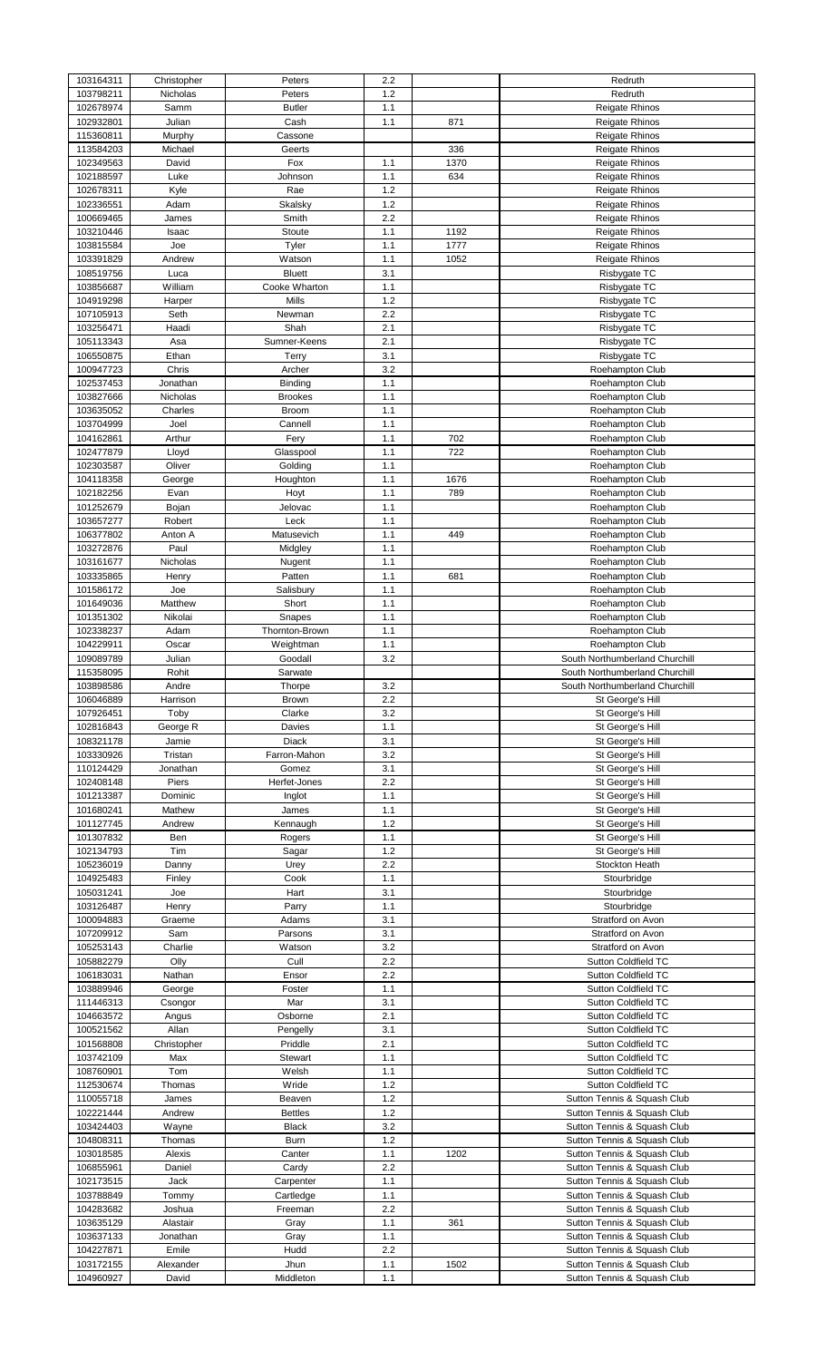| 103164311 | Christopher | Peters         | 2.2 |      | Redruth                        |
|-----------|-------------|----------------|-----|------|--------------------------------|
| 103798211 | Nicholas    | Peters         | 1.2 |      | Redruth                        |
| 102678974 | Samm        | <b>Butler</b>  | 1.1 |      | <b>Reigate Rhinos</b>          |
| 102932801 | Julian      | Cash           | 1.1 | 871  | <b>Reigate Rhinos</b>          |
| 115360811 | Murphy      | Cassone        |     |      | <b>Reigate Rhinos</b>          |
| 113584203 | Michael     | Geerts         |     | 336  | Reigate Rhinos                 |
| 102349563 | David       | Fox            | 1.1 | 1370 | <b>Reigate Rhinos</b>          |
| 102188597 | Luke        | Johnson        | 1.1 | 634  | <b>Reigate Rhinos</b>          |
| 102678311 | Kyle        | Rae            | 1.2 |      | Reigate Rhinos                 |
| 102336551 | Adam        | Skalsky        | 1.2 |      | <b>Reigate Rhinos</b>          |
|           |             |                | 2.2 |      |                                |
| 100669465 | James       | Smith          |     |      | <b>Reigate Rhinos</b>          |
| 103210446 | Isaac       | Stoute         | 1.1 | 1192 | <b>Reigate Rhinos</b>          |
| 103815584 | Joe         | Tyler          | 1.1 | 1777 | <b>Reigate Rhinos</b>          |
| 103391829 | Andrew      | Watson         | 1.1 | 1052 | <b>Reigate Rhinos</b>          |
| 108519756 | Luca        | <b>Bluett</b>  | 3.1 |      | Risbygate TC                   |
| 103856687 | William     | Cooke Wharton  | 1.1 |      | Risbygate TC                   |
| 104919298 | Harper      | Mills          | 1.2 |      | Risbygate TC                   |
| 107105913 | Seth        | Newman         | 2.2 |      | Risbygate TC                   |
| 103256471 | Haadi       | Shah           | 2.1 |      | Risbygate TC                   |
| 105113343 | Asa         | Sumner-Keens   | 2.1 |      | Risbygate TC                   |
| 106550875 | Ethan       | Terry          | 3.1 |      | Risbygate TC                   |
| 100947723 | Chris       | Archer         | 3.2 |      | Roehampton Club                |
| 102537453 | Jonathan    | Binding        | 1.1 |      | Roehampton Club                |
|           |             |                |     |      |                                |
| 103827666 | Nicholas    | <b>Brookes</b> | 1.1 |      | Roehampton Club                |
| 103635052 | Charles     | <b>Broom</b>   | 1.1 |      | Roehampton Club                |
| 103704999 | Joel        | Cannell        | 1.1 |      | Roehampton Club                |
| 104162861 | Arthur      | Fery           | 1.1 | 702  | Roehampton Club                |
| 102477879 | Lloyd       | Glasspool      | 1.1 | 722  | Roehampton Club                |
| 102303587 | Oliver      | Golding        | 1.1 |      | Roehampton Club                |
| 104118358 | George      | Houghton       | 1.1 | 1676 | Roehampton Club                |
| 102182256 | Evan        | Hoyt           | 1.1 | 789  | Roehampton Club                |
| 101252679 | Bojan       | Jelovac        | 1.1 |      | Roehampton Club                |
| 103657277 | Robert      | Leck           | 1.1 |      | Roehampton Club                |
| 106377802 | Anton A     | Matusevich     | 1.1 | 449  |                                |
|           |             |                |     |      | Roehampton Club                |
| 103272876 | Paul        | Midgley        | 1.1 |      | Roehampton Club                |
| 103161677 | Nicholas    | Nugent         | 1.1 |      | Roehampton Club                |
| 103335865 | Henry       | Patten         | 1.1 | 681  | Roehampton Club                |
| 101586172 | Joe         | Salisbury      | 1.1 |      | Roehampton Club                |
| 101649036 | Matthew     | Short          | 1.1 |      | Roehampton Club                |
| 101351302 | Nikolai     | Snapes         | 1.1 |      | Roehampton Club                |
| 102338237 | Adam        | Thornton-Brown | 1.1 |      | Roehampton Club                |
| 104229911 | Oscar       | Weightman      | 1.1 |      | Roehampton Club                |
| 109089789 | Julian      | Goodall        | 3.2 |      | South Northumberland Churchill |
| 115358095 | Rohit       | Sarwate        |     |      | South Northumberland Churchill |
| 103898586 | Andre       | Thorpe         | 3.2 |      | South Northumberland Churchill |
| 106046889 | Harrison    | Brown          | 2.2 |      | St George's Hill               |
| 107926451 | Toby        | Clarke         | 3.2 |      | St George's Hill               |
| 102816843 |             |                | 1.1 |      |                                |
|           | George R    | Davies         |     |      | St George's Hill               |
| 108321178 | Jamie       | Diack          | 3.1 |      | St George's Hill               |
| 103330926 | Tristan     | Farron-Mahon   | 3.2 |      | St George's Hill               |
| 110124429 | Jonathan    | Gomez          | 3.1 |      | St George's Hill               |
| 102408148 | Piers       | Herfet-Jones   | 2.2 |      | St George's Hill               |
| 101213387 | Dominic     | Inglot         | 1.1 |      | St George's Hill               |
| 101680241 | Mathew      | James          | 1.1 |      | St George's Hill               |
| 101127745 | Andrew      | Kennaugh       | 1.2 |      | St George's Hill               |
| 101307832 | Ben         | Rogers         | 1.1 |      | St George's Hill               |
| 102134793 | Tim         | Sagar          | 1.2 |      | St George's Hill               |
| 105236019 | Danny       | Urey           | 2.2 |      | Stockton Heath                 |
| 104925483 | Finley      | Cook           | 1.1 |      | Stourbridge                    |
| 105031241 | Joe         | Hart           | 3.1 |      | Stourbridge                    |
|           |             |                |     |      |                                |
| 103126487 | Henry       | Parry          | 1.1 |      | Stourbridge                    |
| 100094883 | Graeme      | Adams          | 3.1 |      | Stratford on Avon              |
| 107209912 | Sam         | Parsons        | 3.1 |      | Stratford on Avon              |
| 105253143 | Charlie     | Watson         | 3.2 |      | Stratford on Avon              |
| 105882279 | Olly        | Cull           | 2.2 |      | Sutton Coldfield TC            |
| 106183031 | Nathan      | Ensor          | 2.2 |      | Sutton Coldfield TC            |
| 103889946 | George      | Foster         | 1.1 |      | Sutton Coldfield TC            |
| 111446313 | Csongor     | Mar            | 3.1 |      | Sutton Coldfield TC            |
| 104663572 | Angus       | Osborne        | 2.1 |      | Sutton Coldfield TC            |
| 100521562 | Allan       | Pengelly       | 3.1 |      | Sutton Coldfield TC            |
| 101568808 | Christopher | Priddle        | 2.1 |      | Sutton Coldfield TC            |
| 103742109 | Max         | Stewart        | 1.1 |      | Sutton Coldfield TC            |
| 108760901 | Tom         | Welsh          | 1.1 |      | Sutton Coldfield TC            |
|           |             |                |     |      |                                |
| 112530674 | Thomas      | Wride          | 1.2 |      | Sutton Coldfield TC            |
| 110055718 | James       | Beaven         | 1.2 |      | Sutton Tennis & Squash Club    |
| 102221444 | Andrew      | <b>Bettles</b> | 1.2 |      | Sutton Tennis & Squash Club    |
| 103424403 | Wayne       | <b>Black</b>   | 3.2 |      | Sutton Tennis & Squash Club    |
| 104808311 | Thomas      | <b>Burn</b>    | 1.2 |      | Sutton Tennis & Squash Club    |
| 103018585 | Alexis      | Canter         | 1.1 | 1202 | Sutton Tennis & Squash Club    |
| 106855961 | Daniel      | Cardy          | 2.2 |      | Sutton Tennis & Squash Club    |
| 102173515 | Jack        | Carpenter      | 1.1 |      | Sutton Tennis & Squash Club    |
| 103788849 | Tommy       | Cartledge      | 1.1 |      | Sutton Tennis & Squash Club    |
| 104283682 | Joshua      | Freeman        | 2.2 |      | Sutton Tennis & Squash Club    |
| 103635129 | Alastair    | Gray           | 1.1 | 361  | Sutton Tennis & Squash Club    |
| 103637133 | Jonathan    | Gray           | 1.1 |      | Sutton Tennis & Squash Club    |
| 104227871 | Emile       | Hudd           | 2.2 |      | Sutton Tennis & Squash Club    |
| 103172155 | Alexander   | Jhun           | 1.1 | 1502 | Sutton Tennis & Squash Club    |
|           |             |                |     |      |                                |
| 104960927 | David       | Middleton      | 1.1 |      | Sutton Tennis & Squash Club    |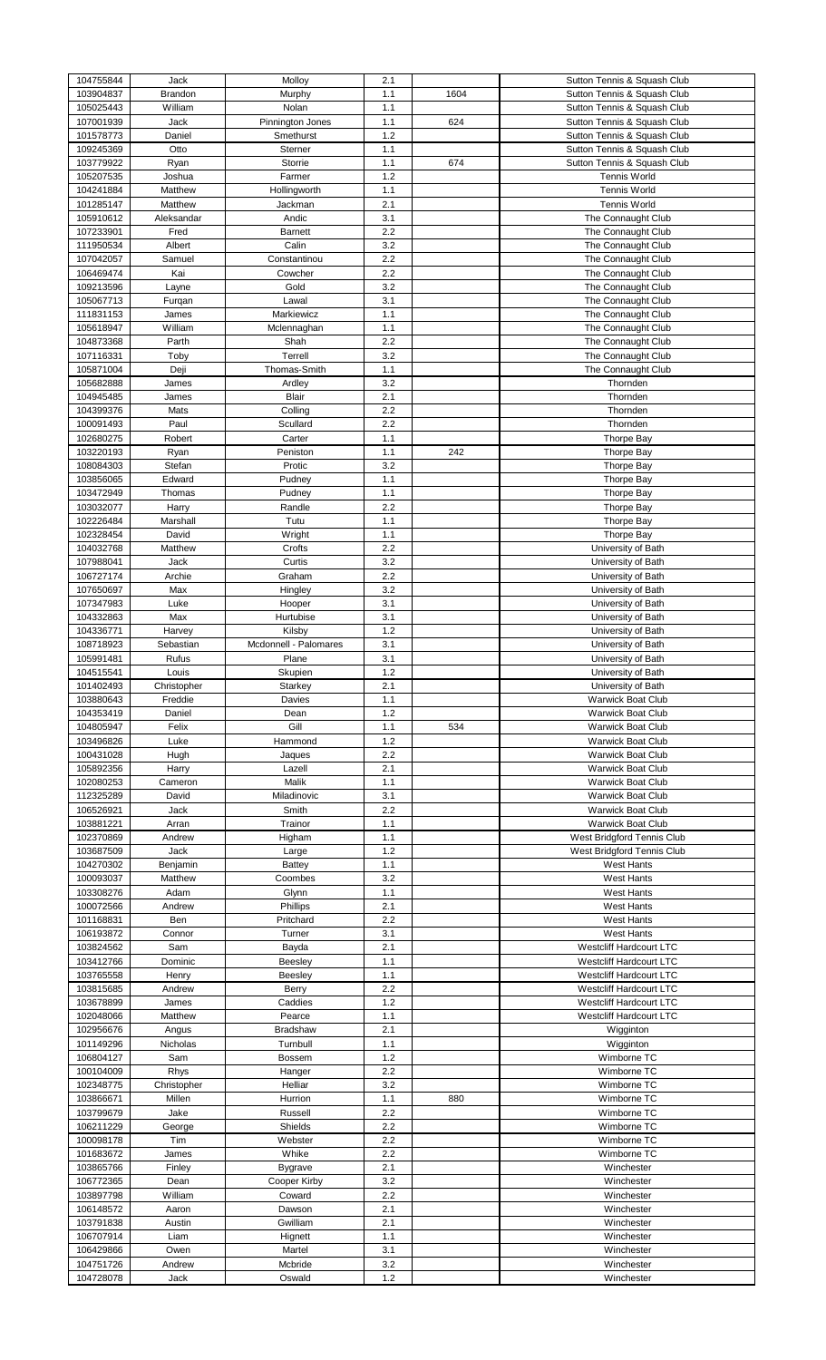| 104755844              |                |                       |              |      |                                |
|------------------------|----------------|-----------------------|--------------|------|--------------------------------|
|                        | Jack           | Molloy                | 2.1          |      | Sutton Tennis & Squash Club    |
| 103904837              | <b>Brandon</b> | Murphy                | 1.1          | 1604 | Sutton Tennis & Squash Club    |
| 105025443              | William        | Nolan                 | 1.1          |      | Sutton Tennis & Squash Club    |
| 107001939              | Jack           | Pinnington Jones      | 1.1          | 624  | Sutton Tennis & Squash Club    |
| 101578773              | Daniel         | Smethurst             | 1.2          |      | Sutton Tennis & Squash Club    |
| 109245369              | Otto           | Sterner               | 1.1          |      | Sutton Tennis & Squash Club    |
| 103779922              |                | Storrie               |              | 674  | Sutton Tennis & Squash Club    |
|                        | Ryan           |                       | 1.1          |      |                                |
| 105207535              | Joshua         | Farmer                | 1.2          |      | <b>Tennis World</b>            |
| 104241884              | Matthew        | Hollingworth          | 1.1          |      | <b>Tennis World</b>            |
| 101285147              | Matthew        | Jackman               | 2.1          |      | <b>Tennis World</b>            |
| 105910612              | Aleksandar     | Andic                 | 3.1          |      | The Connaught Club             |
| 107233901              | Fred           | <b>Barnett</b>        | 2.2          |      | The Connaught Club             |
| 111950534              | Albert         | Calin                 | 3.2          |      | The Connaught Club             |
| 107042057              | Samuel         | Constantinou          | 2.2          |      | The Connaught Club             |
|                        |                |                       |              |      |                                |
| 106469474              | Kai            | Cowcher               | 2.2          |      | The Connaught Club             |
| 109213596              | Layne          | Gold                  | 3.2          |      | The Connaught Club             |
| 105067713              | Furgan         | Lawal                 | 3.1          |      | The Connaught Club             |
| 111831153              | James          | Markiewicz            | 1.1          |      | The Connaught Club             |
| 105618947              | William        | Mclennaghan           | 1.1          |      | The Connaught Club             |
| 104873368              | Parth          | Shah                  | 2.2          |      | The Connaught Club             |
|                        |                |                       | 3.2          |      |                                |
| 107116331              | Toby           | Terrell               |              |      | The Connaught Club             |
| 105871004              | Deji           | Thomas-Smith          | 1.1          |      | The Connaught Club             |
| 105682888              | James          | Ardley                | 3.2          |      | Thornden                       |
| 104945485              | James          | Blair                 | 2.1          |      | Thornden                       |
| 104399376              | Mats           | Colling               | 2.2          |      | Thornden                       |
| 100091493              | Paul           | Scullard              | 2.2          |      | Thornden                       |
| 102680275              | Robert         | Carter                | 1.1          |      | <b>Thorpe Bay</b>              |
|                        |                |                       |              |      |                                |
| 103220193              | Ryan           | Peniston              | 1.1          | 242  | <b>Thorpe Bay</b>              |
| 108084303              | Stefan         | Protic                | 3.2          |      | <b>Thorpe Bay</b>              |
| 103856065              | Edward         | Pudney                | 1.1          |      | <b>Thorpe Bay</b>              |
| 103472949              | Thomas         | Pudney                | 1.1          |      | <b>Thorpe Bay</b>              |
| 103032077              | Harry          | Randle                | 2.2          |      | <b>Thorpe Bay</b>              |
| 102226484              | Marshall       | Tutu                  | 1.1          |      | <b>Thorpe Bay</b>              |
|                        | David          |                       | 1.1          |      |                                |
| 102328454              |                | Wright                |              |      | <b>Thorpe Bay</b>              |
| 104032768              | Matthew        | Crofts                | 2.2          |      | University of Bath             |
| 107988041              | Jack           | Curtis                | 3.2          |      | University of Bath             |
| 106727174              | Archie         | Graham                | 2.2          |      | University of Bath             |
| 107650697              | Max            | Hingley               | 3.2          |      | University of Bath             |
| 107347983              | Luke           | Hooper                | 3.1          |      | University of Bath             |
| 104332863              | Max            | Hurtubise             | 3.1          |      | University of Bath             |
|                        |                |                       |              |      |                                |
| 104336771              | Harvey         | Kilsby                | 1.2          |      | University of Bath             |
| 108718923              | Sebastian      | Mcdonnell - Palomares | 3.1          |      | University of Bath             |
| 105991481              | Rufus          | Plane                 | 3.1          |      | University of Bath             |
| 104515541              | Louis          | Skupien               | $1.2$        |      | University of Bath             |
| 101402493              | Christopher    | Starkey               | 2.1          |      | University of Bath             |
| 103880643              | Freddie        | Davies                | 1.1          |      | <b>Warwick Boat Club</b>       |
| 104353419              | Daniel         | Dean                  | 1.2          |      | <b>Warwick Boat Club</b>       |
|                        |                |                       |              |      |                                |
| 104805947              | Felix          | Gill                  | 1.1          | 534  | <b>Warwick Boat Club</b>       |
| 103496826              | Luke           | Hammond               | 1.2          |      | <b>Warwick Boat Club</b>       |
|                        |                |                       | 2.2          |      | Warwick Boat Club              |
| 100431028              | Hugh           | Jaques                |              |      |                                |
| 105892356              | Harry          | Lazell                | 2.1          |      | <b>Warwick Boat Club</b>       |
|                        |                | Malik                 |              |      | <b>Warwick Boat Club</b>       |
| 102080253              | Cameron        |                       | 1.1          |      |                                |
| 112325289              | David          | Miladinovic           | 3.1          |      | <b>Warwick Boat Club</b>       |
| 106526921              | Jack           | Smith                 | 2.2          |      | <b>Warwick Boat Club</b>       |
| 103881221              | Arran          | Trainor               | 1.1          |      | <b>Warwick Boat Club</b>       |
| 102370869              | Andrew         | Higham                | 1.1          |      | West Bridgford Tennis Club     |
| 103687509              | Jack           | Large                 | 1.2          |      | West Bridgford Tennis Club     |
| 104270302              | Benjamin       | <b>Battey</b>         | 1.1          |      | <b>West Hants</b>              |
|                        |                |                       |              |      |                                |
| 100093037              | Matthew        | Coombes               | 3.2          |      | <b>West Hants</b>              |
| 103308276              | Adam           | Glynn                 | 1.1          |      | <b>West Hants</b>              |
| 100072566              | Andrew         | Phillips              | 2.1          |      | <b>West Hants</b>              |
| 101168831              | Ben            | Pritchard             | 2.2          |      | West Hants                     |
| 106193872              | Connor         | Turner                | 3.1          |      | <b>West Hants</b>              |
| 103824562              | Sam            | Bayda                 | 2.1          |      | <b>Westcliff Hardcourt LTC</b> |
| 103412766              | Dominic        | Beesley               | 1.1          |      | <b>Westcliff Hardcourt LTC</b> |
| 103765558              | Henry          | Beesley               | 1.1          |      | <b>Westcliff Hardcourt LTC</b> |
|                        |                |                       |              |      |                                |
| 103815685              | Andrew         | Berry                 | 2.2          |      | <b>Westcliff Hardcourt LTC</b> |
| 103678899              | James          | Caddies               | 1.2          |      | <b>Westcliff Hardcourt LTC</b> |
| 102048066              | Matthew        | Pearce                | 1.1          |      | <b>Westcliff Hardcourt LTC</b> |
| 102956676              | Angus          | <b>Bradshaw</b>       | 2.1          |      | Wigginton                      |
| 101149296              | Nicholas       | Turnbull              | 1.1          |      | Wigginton                      |
| 106804127              | Sam            | <b>Bossem</b>         | 1.2          |      | Wimborne TC                    |
|                        |                |                       |              |      |                                |
| 100104009              | <b>Rhys</b>    | Hanger                | 2.2          |      | Wimborne TC                    |
| 102348775              | Christopher    | Helliar               | 3.2          |      | Wimborne TC                    |
| 103866671              | Millen         | Hurrion               | 1.1          | 880  | Wimborne TC                    |
| 103799679              | Jake           | Russell               | 2.2          |      | Wimborne TC                    |
| 106211229              | George         | Shields               | 2.2          |      | Wimborne TC                    |
| 100098178              | Tim            | Webster               | 2.2          |      | Wimborne TC                    |
| 101683672              | James          | Whike                 | 2.2          |      | Wimborne TC                    |
|                        |                |                       |              |      |                                |
| 103865766              | Finley         | Bygrave               | 2.1          |      | Winchester                     |
| 106772365              | Dean           | Cooper Kirby          | 3.2          |      | Winchester                     |
| 103897798              | William        | Coward                | 2.2          |      | Winchester                     |
| 106148572              | Aaron          | Dawson                | 2.1          |      | Winchester                     |
| 103791838              | Austin         | Gwilliam              | 2.1          |      | Winchester                     |
| 106707914              | Liam           | Hignett               | 1.1          |      | Winchester                     |
|                        | Owen           | Martel                |              |      | Winchester                     |
| 106429866              |                |                       | 3.1          |      |                                |
| 104751726<br>104728078 | Andrew<br>Jack | Mcbride<br>Oswald     | 3.2<br>$1.2$ |      | Winchester<br>Winchester       |